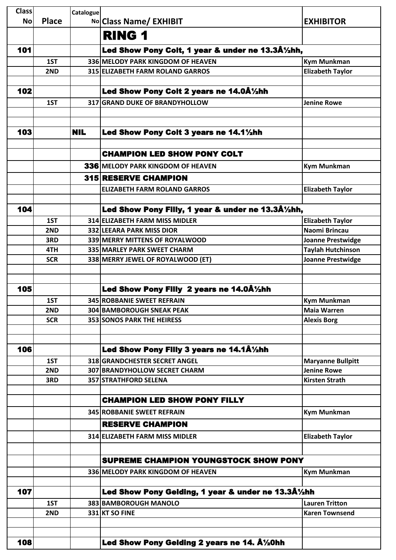| Classl    |              | Catalogue  |                                                       |                          |
|-----------|--------------|------------|-------------------------------------------------------|--------------------------|
| <b>No</b> | <b>Place</b> |            | No Class Name/ EXHIBIT                                | <b>EXHIBITOR</b>         |
|           |              |            | <b>RING 1</b>                                         |                          |
| 101       |              |            | Led Show Pony Colt, 1 year & under ne 13.3Â1/2hh,     |                          |
|           | 1ST          |            | 336 MELODY PARK KINGDOM OF HEAVEN                     | <b>Kym Munkman</b>       |
|           | 2ND          |            | 315 ELIZABETH FARM ROLAND GARROS                      | <b>Elizabeth Taylor</b>  |
|           |              |            |                                                       |                          |
| 102       |              |            | Led Show Pony Colt 2 years ne 14.0Â1/2hh              |                          |
|           | 1ST          |            | 317 GRAND DUKE OF BRANDYHOLLOW                        | <b>Jenine Rowe</b>       |
|           |              |            |                                                       |                          |
|           |              |            |                                                       |                          |
| 103       |              | <b>NIL</b> | Led Show Pony Colt 3 years ne 14.11/2hh               |                          |
|           |              |            |                                                       |                          |
|           |              |            | <b>CHAMPION LED SHOW PONY COLT</b>                    |                          |
|           |              |            | 336 MELODY PARK KINGDOM OF HEAVEN                     | <b>Kym Munkman</b>       |
|           |              |            | <b>315 RESERVE CHAMPION</b>                           |                          |
|           |              |            | <b>ELIZABETH FARM ROLAND GARROS</b>                   | <b>Elizabeth Taylor</b>  |
|           |              |            |                                                       |                          |
| 104       |              |            | Led Show Pony Filly, 1 year & under ne 13.3Â1/2hh,    |                          |
|           | 1ST          |            | 314 ELIZABETH FARM MISS MIDLER                        | <b>Elizabeth Taylor</b>  |
|           | 2ND          |            | 332 LEEARA PARK MISS DIOR                             | Naomi Brincau            |
|           | 3RD          |            | 339 MERRY MITTENS OF ROYALWOOD                        | <b>Joanne Prestwidge</b> |
|           | 4TH          |            | 335 MARLEY PARK SWEET CHARM                           | <b>Taylah Hutchinson</b> |
|           | <b>SCR</b>   |            | 338 MERRY JEWEL OF ROYALWOOD (ET)                     | <b>Joanne Prestwidge</b> |
|           |              |            |                                                       |                          |
| 105       |              |            | Led Show Pony Filly 2 years ne 14.0Â1/2hh             |                          |
|           | 1ST          |            | 345 ROBBANIE SWEET REFRAIN                            | <b>Kym Munkman</b>       |
|           | 2ND          |            | 304 BAMBOROUGH SNEAK PEAK                             | <b>Maia Warren</b>       |
|           | <b>SCR</b>   |            | <b>353 SONOS PARK THE HEIRESS</b>                     | <b>Alexis Borg</b>       |
|           |              |            |                                                       |                          |
|           |              |            |                                                       |                          |
| 106       |              |            | Led Show Pony Filly 3 years ne 14.1Â1/2hh             |                          |
|           | 1ST          |            | 318 GRANDCHESTER SECRET ANGEL                         | <b>Maryanne Bullpitt</b> |
|           | 2ND          |            | 307 BRANDYHOLLOW SECRET CHARM                         | <b>Jenine Rowe</b>       |
|           | 3RD          |            | 357 STRATHFORD SELENA                                 | <b>Kirsten Strath</b>    |
|           |              |            |                                                       |                          |
|           |              |            | <b>CHAMPION LED SHOW PONY FILLY</b>                   |                          |
|           |              |            | 345 ROBBANIE SWEET REFRAIN                            | <b>Kym Munkman</b>       |
|           |              |            | <b>RESERVE CHAMPION</b>                               |                          |
|           |              |            | 314 ELIZABETH FARM MISS MIDLER                        | <b>Elizabeth Taylor</b>  |
|           |              |            |                                                       |                          |
|           |              |            | SUPREME CHAMPION YOUNGSTOCK SHOW PONY                 |                          |
|           |              |            | 336 MELODY PARK KINGDOM OF HEAVEN                     | <b>Kym Munkman</b>       |
|           |              |            |                                                       |                          |
| 107       |              |            | Led Show Pony Gelding, 1 year & under ne 13.3Å1/2hh   |                          |
|           | 1ST          |            | 383 BAMBOROUGH MANOLO                                 | <b>Lauren Tritton</b>    |
|           | 2ND          |            | 331 KT SO FINE                                        | <b>Karen Townsend</b>    |
|           |              |            |                                                       |                          |
|           |              |            |                                                       |                          |
| 108       |              |            | Led Show Pony Gelding 2 years ne 14. $\hat{A}$ 1/20hh |                          |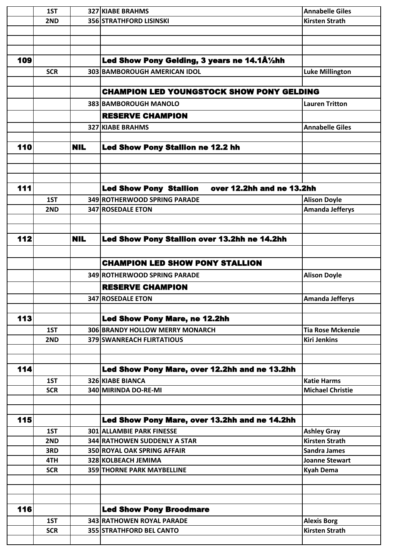|     | 1ST        |            | <b>327 KIABE BRAHMS</b>                                    | <b>Annabelle Giles</b>                        |
|-----|------------|------------|------------------------------------------------------------|-----------------------------------------------|
|     | 2ND        |            | <b>356 STRATHFORD LISINSKI</b>                             | <b>Kirsten Strath</b>                         |
|     |            |            |                                                            |                                               |
|     |            |            |                                                            |                                               |
|     |            |            |                                                            |                                               |
| 109 |            |            | Led Show Pony Gelding, 3 years ne 14.1Å%hh                 |                                               |
|     | <b>SCR</b> |            | 303 BAMBOROUGH AMERICAN IDOL                               | <b>Luke Millington</b>                        |
|     |            |            |                                                            |                                               |
|     |            |            | <b>CHAMPION LED YOUNGSTOCK SHOW PONY GELDING</b>           |                                               |
|     |            |            | 383 BAMBOROUGH MANOLO                                      | <b>Lauren Tritton</b>                         |
|     |            |            | <b>RESERVE CHAMPION</b>                                    |                                               |
|     |            |            | <b>327 KIABE BRAHMS</b>                                    | <b>Annabelle Giles</b>                        |
|     |            |            |                                                            |                                               |
| 110 |            | <b>NIL</b> | Led Show Pony Stallion ne 12.2 hh                          |                                               |
|     |            |            |                                                            |                                               |
|     |            |            |                                                            |                                               |
|     |            |            |                                                            |                                               |
| 111 |            |            | <b>Led Show Pony Stallion</b><br>over 12.2hh and ne 13.2hh |                                               |
|     | 1ST        |            | 349 ROTHERWOOD SPRING PARADE                               |                                               |
|     | 2ND        |            | 347 ROSEDALE ETON                                          | <b>Alison Doyle</b><br><b>Amanda Jefferys</b> |
|     |            |            |                                                            |                                               |
|     |            |            |                                                            |                                               |
| 112 |            | <b>NIL</b> | Led Show Pony Stallion over 13.2hh ne 14.2hh               |                                               |
|     |            |            |                                                            |                                               |
|     |            |            |                                                            |                                               |
|     |            |            | <b>CHAMPION LED SHOW PONY STALLION</b>                     |                                               |
|     |            |            | 349 ROTHERWOOD SPRING PARADE                               | <b>Alison Doyle</b>                           |
|     |            |            | <b>RESERVE CHAMPION</b>                                    |                                               |
|     |            |            | <b>347 ROSEDALE ETON</b>                                   | <b>Amanda Jefferys</b>                        |
|     |            |            |                                                            |                                               |
| 113 |            |            | <b>Led Show Pony Mare, ne 12.2hh</b>                       |                                               |
|     | 1ST        |            | 306 BRANDY HOLLOW MERRY MONARCH                            | <b>Tia Rose Mckenzie</b>                      |
|     | 2ND        |            | 379 SWANREACH FLIRTATIOUS                                  | <b>Kiri Jenkins</b>                           |
|     |            |            |                                                            |                                               |
|     |            |            |                                                            |                                               |
| 114 |            |            | Led Show Pony Mare, over 12.2hh and ne 13.2hh              |                                               |
|     | 1ST        |            | <b>326 KIABE BIANCA</b>                                    | <b>Katie Harms</b>                            |
|     | <b>SCR</b> |            | 340 MIRINDA DO-RE-MI                                       | <b>Michael Christie</b>                       |
|     |            |            |                                                            |                                               |
|     |            |            |                                                            |                                               |
| 115 |            |            | Led Show Pony Mare, over 13.2hh and ne 14.2hh              |                                               |
|     | 1ST        |            | <b>301 ALLAMBIE PARK FINESSE</b>                           | <b>Ashley Gray</b>                            |
|     | 2ND        |            | <b>344 RATHOWEN SUDDENLY A STAR</b>                        | <b>Kirsten Strath</b>                         |
|     | 3RD        |            | <b>350 ROYAL OAK SPRING AFFAIR</b>                         | <b>Sandra James</b>                           |
|     | 4TH        |            | 328 KOLBEACH JEMIMA                                        | Joanne Stewart                                |
|     | <b>SCR</b> |            | <b>359 THORNE PARK MAYBELLINE</b>                          | <b>Kyah Dema</b>                              |
|     |            |            |                                                            |                                               |
|     |            |            |                                                            |                                               |
|     |            |            |                                                            |                                               |
| 116 |            |            | <b>Led Show Pony Broodmare</b>                             |                                               |
|     | 1ST        |            | 343 RATHOWEN ROYAL PARADE                                  | <b>Alexis Borg</b>                            |
|     | <b>SCR</b> |            | 355 STRATHFORD BEL CANTO                                   | <b>Kirsten Strath</b>                         |
|     |            |            |                                                            |                                               |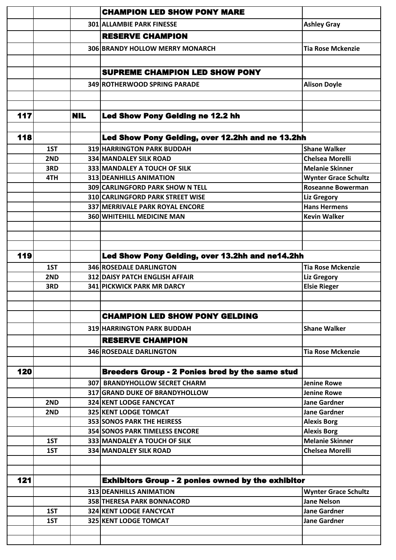|     |     |            | <b>CHAMPION LED SHOW PONY MARE</b>                               |                                           |
|-----|-----|------------|------------------------------------------------------------------|-------------------------------------------|
|     |     |            | <b>301 ALLAMBIE PARK FINESSE</b>                                 | <b>Ashley Gray</b>                        |
|     |     |            | <b>RESERVE CHAMPION</b>                                          |                                           |
|     |     |            | 306 BRANDY HOLLOW MERRY MONARCH                                  | <b>Tia Rose Mckenzie</b>                  |
|     |     |            |                                                                  |                                           |
|     |     |            |                                                                  |                                           |
|     |     |            | <b>SUPREME CHAMPION LED SHOW PONY</b>                            |                                           |
|     |     |            | 349 ROTHERWOOD SPRING PARADE                                     | <b>Alison Doyle</b>                       |
|     |     |            |                                                                  |                                           |
|     |     |            |                                                                  |                                           |
| 117 |     | <b>NIL</b> | Led Show Pony Gelding ne 12.2 hh                                 |                                           |
|     |     |            |                                                                  |                                           |
| 118 |     |            | Led Show Pony Gelding, over 12.2hh and ne 13.2hh                 |                                           |
|     | 1ST |            | 319 HARRINGTON PARK BUDDAH                                       | <b>Shane Walker</b>                       |
|     | 2ND |            | <b>334 MANDALEY SILK ROAD</b>                                    | <b>Chelsea Morelli</b>                    |
|     | 3RD |            | 333 MANDALEY A TOUCH OF SILK                                     | <b>Melanie Skinner</b>                    |
|     | 4TH |            | <b>313 DEANHILLS ANIMATION</b>                                   | <b>Wynter Grace Schultz</b>               |
|     |     |            | 309 CARLINGFORD PARK SHOW N TELL                                 | <b>Roseanne Bowerman</b>                  |
|     |     |            | 310 CARLINGFORD PARK STREET WISE                                 | <b>Liz Gregory</b>                        |
|     |     |            | 337 MERRIVALE PARK ROYAL ENCORE                                  | <b>Hans Hermens</b>                       |
|     |     |            | <b>360 WHITEHILL MEDICINE MAN</b>                                | <b>Kevin Walker</b>                       |
|     |     |            |                                                                  |                                           |
|     |     |            |                                                                  |                                           |
| 119 |     |            |                                                                  |                                           |
|     |     |            | Led Show Pony Gelding, over 13.2hh and ne14.2hh                  |                                           |
|     | 1ST |            | <b>346 ROSEDALE DARLINGTON</b>                                   | <b>Tia Rose Mckenzie</b>                  |
|     | 2ND |            | <b>312 DAISY PATCH ENGLISH AFFAIR</b>                            | <b>Liz Gregory</b>                        |
|     | 3RD |            | <b>341 PICKWICK PARK MR DARCY</b>                                | <b>Elsie Rieger</b>                       |
|     |     |            |                                                                  |                                           |
|     |     |            | <b>CHAMPION LED SHOW PONY GELDING</b>                            |                                           |
|     |     |            | <b>319 HARRINGTON PARK BUDDAH</b>                                | <b>Shane Walker</b>                       |
|     |     |            |                                                                  |                                           |
|     |     |            | <b>RESERVE CHAMPION</b>                                          |                                           |
|     |     |            | <b>346 ROSEDALE DARLINGTON</b>                                   | <b>Tia Rose Mckenzie</b>                  |
| 120 |     |            | <b>Breeders Group - 2 Ponies bred by the same stud</b>           |                                           |
|     |     |            |                                                                  |                                           |
|     |     |            | 307 BRANDYHOLLOW SECRET CHARM                                    | <b>Jenine Rowe</b>                        |
|     | 2ND |            | 317 GRAND DUKE OF BRANDYHOLLOW<br><b>324 KENT LODGE FANCYCAT</b> | <b>Jenine Rowe</b><br><b>Jane Gardner</b> |
|     | 2ND |            | <b>325 KENT LODGE TOMCAT</b>                                     | <b>Jane Gardner</b>                       |
|     |     |            | <b>353 SONOS PARK THE HEIRESS</b>                                | <b>Alexis Borg</b>                        |
|     |     |            | <b>354 SONOS PARK TIMELESS ENCORE</b>                            | <b>Alexis Borg</b>                        |
|     | 1ST |            | 333 MANDALEY A TOUCH OF SILK                                     | <b>Melanie Skinner</b>                    |
|     | 1ST |            | <b>334 MANDALEY SILK ROAD</b>                                    | <b>Chelsea Morelli</b>                    |
|     |     |            |                                                                  |                                           |
|     |     |            |                                                                  |                                           |
| 121 |     |            | <b>Exhibitors Group - 2 ponies owned by the exhibitor</b>        |                                           |
|     |     |            | 313 DEANHILLS ANIMATION                                          | <b>Wynter Grace Schultz</b>               |
|     |     |            | <b>358 THERESA PARK BONNACORD</b>                                | <b>Jane Nelson</b>                        |
|     | 1ST |            | <b>324 KENT LODGE FANCYCAT</b>                                   | <b>Jane Gardner</b>                       |
|     | 1ST |            | 325 KENT LODGE TOMCAT                                            | <b>Jane Gardner</b>                       |
|     |     |            |                                                                  |                                           |
|     |     |            |                                                                  |                                           |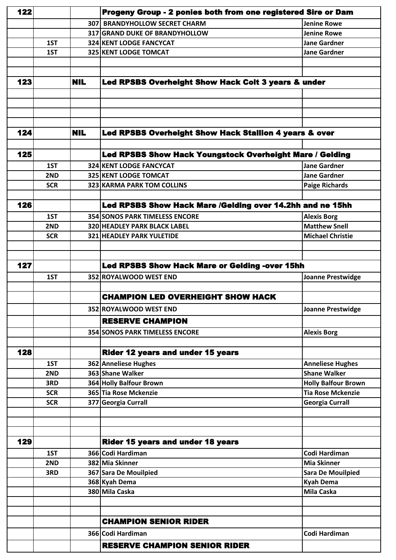| 122 |            |            | Progeny Group - 2 ponies both from one registered Sire or Dam |                            |
|-----|------------|------------|---------------------------------------------------------------|----------------------------|
|     |            |            | 307 BRANDYHOLLOW SECRET CHARM                                 | <b>Jenine Rowe</b>         |
|     |            |            | <b>317 GRAND DUKE OF BRANDYHOLLOW</b>                         | <b>Jenine Rowe</b>         |
|     | 1ST        |            | <b>324 KENT LODGE FANCYCAT</b>                                | <b>Jane Gardner</b>        |
|     | 1ST        |            | 325 KENT LODGE TOMCAT                                         | <b>Jane Gardner</b>        |
|     |            |            |                                                               |                            |
|     |            |            |                                                               |                            |
| 123 |            | <b>NIL</b> | Led RPSBS Overheight Show Hack Colt 3 years & under           |                            |
|     |            |            |                                                               |                            |
|     |            |            |                                                               |                            |
|     |            |            |                                                               |                            |
| 124 |            | <b>NIL</b> | Led RPSBS Overheight Show Hack Stallion 4 years & over        |                            |
|     |            |            |                                                               |                            |
| 125 |            |            | Led RPSBS Show Hack Youngstock Overheight Mare / Gelding      |                            |
|     | 1ST        |            | <b>324 KENT LODGE FANCYCAT</b>                                | <b>Jane Gardner</b>        |
|     | 2ND        |            | <b>325 KENT LODGE TOMCAT</b>                                  | <b>Jane Gardner</b>        |
|     | <b>SCR</b> |            | 323 KARMA PARK TOM COLLINS                                    | <b>Paige Richards</b>      |
|     |            |            |                                                               |                            |
| 126 |            |            | Led RPSBS Show Hack Mare /Gelding over 14.2hh and ne 15hh     |                            |
|     | 1ST        |            | <b>354 SONOS PARK TIMELESS ENCORE</b>                         | <b>Alexis Borg</b>         |
|     | 2ND        |            | <b>320 HEADLEY PARK BLACK LABEL</b>                           | <b>Matthew Snell</b>       |
|     | <b>SCR</b> |            | 321 HEADLEY PARK YULETIDE                                     | <b>Michael Christie</b>    |
|     |            |            |                                                               |                            |
|     |            |            |                                                               |                            |
| 127 |            |            | <b>Led RPSBS Show Hack Mare or Gelding -over 15hh</b>         |                            |
|     | 1ST        |            | 352 ROYALWOOD WEST END                                        | <b>Joanne Prestwidge</b>   |
|     |            |            |                                                               |                            |
|     |            |            | <b>CHAMPION LED OVERHEIGHT SHOW HACK</b>                      |                            |
|     |            |            | 352 ROYALWOOD WEST END                                        | <b>Joanne Prestwidge</b>   |
|     |            |            | <b>RESERVE CHAMPION</b>                                       |                            |
|     |            |            | <b>354 SONOS PARK TIMELESS ENCORE</b>                         | <b>Alexis Borg</b>         |
|     |            |            |                                                               |                            |
| 128 |            |            | <b>Rider 12 years and under 15 years</b>                      |                            |
|     | 1ST        |            | 362 Anneliese Hughes                                          | <b>Anneliese Hughes</b>    |
|     | 2ND        |            | 363 Shane Walker                                              | <b>Shane Walker</b>        |
|     | 3RD        |            | 364 Holly Balfour Brown                                       | <b>Holly Balfour Brown</b> |
|     | <b>SCR</b> |            | 365 Tia Rose Mckenzie                                         | <b>Tia Rose Mckenzie</b>   |
|     | <b>SCR</b> |            | 377 Georgia Currall                                           | <b>Georgia Currall</b>     |
|     |            |            |                                                               |                            |
|     |            |            |                                                               |                            |
| 129 |            |            | <b>Rider 15 years and under 18 years</b>                      |                            |
|     | 1ST        |            | 366 Codi Hardiman                                             | Codi Hardiman              |
|     | 2ND        |            | 382 Mia Skinner                                               | <b>Mia Skinner</b>         |
|     | 3RD        |            | 367 Sara De Mouilpied                                         | <b>Sara De Mouilpied</b>   |
|     |            |            | 368 Kyah Dema                                                 | <b>Kyah Dema</b>           |
|     |            |            | 380 Mila Caska                                                | <b>Mila Caska</b>          |
|     |            |            |                                                               |                            |
|     |            |            |                                                               |                            |
|     |            |            | <b>CHAMPION SENIOR RIDER</b>                                  |                            |
|     |            |            | 366 Codi Hardiman                                             | Codi Hardiman              |
|     |            |            | <b>RESERVE CHAMPION SENIOR RIDER</b>                          |                            |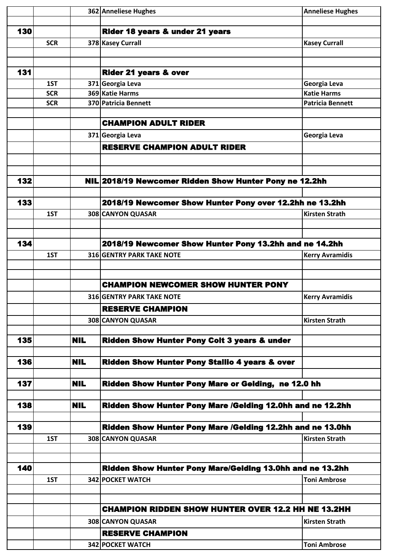|     |            |            | 362 Anneliese Hughes                                       | <b>Anneliese Hughes</b> |
|-----|------------|------------|------------------------------------------------------------|-------------------------|
|     |            |            |                                                            |                         |
| 130 |            |            | Rider 18 years & under 21 years                            |                         |
|     | <b>SCR</b> |            | 378 Kasey Currall                                          | <b>Kasey Currall</b>    |
|     |            |            |                                                            |                         |
|     |            |            |                                                            |                         |
| 131 |            |            | <b>Rider 21 years &amp; over</b>                           |                         |
|     | 1ST        |            | 371 Georgia Leva                                           | Georgia Leva            |
|     | <b>SCR</b> |            | 369 Katie Harms                                            | <b>Katie Harms</b>      |
|     | <b>SCR</b> |            | 370 Patricia Bennett                                       | <b>Patricia Bennett</b> |
|     |            |            |                                                            |                         |
|     |            |            | <b>CHAMPION ADULT RIDER</b>                                |                         |
|     |            |            | 371 Georgia Leva                                           | Georgia Leva            |
|     |            |            | <b>RESERVE CHAMPION ADULT RIDER</b>                        |                         |
|     |            |            |                                                            |                         |
|     |            |            |                                                            |                         |
| 132 |            |            | NIL 2018/19 Newcomer Ridden Show Hunter Pony ne 12.2hh     |                         |
|     |            |            |                                                            |                         |
| 133 |            |            |                                                            |                         |
|     |            |            | 2018/19 Newcomer Show Hunter Pony over 12.2hh ne 13.2hh    |                         |
|     | 1ST        |            | 308 CANYON QUASAR                                          | <b>Kirsten Strath</b>   |
|     |            |            |                                                            |                         |
| 134 |            |            | 2018/19 Newcomer Show Hunter Pony 13.2hh and ne 14.2hh     |                         |
|     |            |            |                                                            |                         |
|     | 1ST        |            | <b>316 GENTRY PARK TAKE NOTE</b>                           | <b>Kerry Avramidis</b>  |
|     |            |            |                                                            |                         |
|     |            |            | <b>CHAMPION NEWCOMER SHOW HUNTER PONY</b>                  |                         |
|     |            |            |                                                            |                         |
|     |            |            | <b>316 GENTRY PARK TAKE NOTE</b>                           | <b>Kerry Avramidis</b>  |
|     |            |            | <b>RESERVE CHAMPION</b>                                    |                         |
|     |            |            | 308 CANYON QUASAR                                          | <b>Kirsten Strath</b>   |
|     |            |            |                                                            |                         |
| 135 |            | <b>NIL</b> | <b>Ridden Show Hunter Pony Colt 3 years &amp; under</b>    |                         |
|     |            |            |                                                            |                         |
| 136 |            | <b>NIL</b> | Ridden Show Hunter Pony Stallio 4 years & over             |                         |
|     |            |            |                                                            |                         |
| 137 |            | <b>NIL</b> | Ridden Show Hunter Pony Mare or Gelding, ne 12.0 hh        |                         |
|     |            |            |                                                            |                         |
| 138 |            | <b>NIL</b> | Ridden Show Hunter Pony Mare /Gelding 12.0hh and ne 12.2hh |                         |
|     |            |            |                                                            |                         |
| 139 |            |            | Ridden Show Hunter Pony Mare /Gelding 12.2hh and ne 13.0hh |                         |
|     | 1ST        |            | 308 CANYON QUASAR                                          | <b>Kirsten Strath</b>   |
|     |            |            |                                                            |                         |
|     |            |            |                                                            |                         |
| 140 |            |            | Ridden Show Hunter Pony Mare/Gelding 13.0hh and ne 13.2hh  |                         |
|     | 1ST        |            | 342 POCKET WATCH                                           | <b>Toni Ambrose</b>     |
|     |            |            |                                                            |                         |
|     |            |            |                                                            |                         |
|     |            |            | <b>CHAMPION RIDDEN SHOW HUNTER OVER 12.2 HH NE 13.2HH</b>  |                         |
|     |            |            | 308 CANYON QUASAR                                          | <b>Kirsten Strath</b>   |
|     |            |            | <b>RESERVE CHAMPION</b>                                    |                         |
|     |            |            | 342 POCKET WATCH                                           | <b>Toni Ambrose</b>     |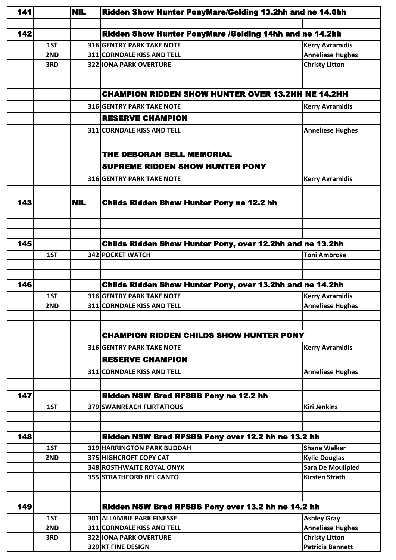| 141 |     | <b>NIL</b> | Ridden Show Hunter PonyMare/Gelding 13.2hh and ne 14.0hh         |                          |  |
|-----|-----|------------|------------------------------------------------------------------|--------------------------|--|
|     |     |            |                                                                  |                          |  |
| 142 |     |            | Ridden Show Hunter PonyMare /Gelding 14hh and ne 14.2hh          |                          |  |
|     | 1ST |            | <b>316 GENTRY PARK TAKE NOTE</b>                                 | <b>Kerry Avramidis</b>   |  |
|     | 2ND |            | <b>311 CORNDALE KISS AND TELL</b>                                | <b>Anneliese Hughes</b>  |  |
|     | 3RD |            | <b>322 IONA PARK OVERTURE</b>                                    | <b>Christy Litton</b>    |  |
|     |     |            |                                                                  |                          |  |
|     |     |            |                                                                  |                          |  |
|     |     |            | <b>CHAMPION RIDDEN SHOW HUNTER OVER 13.2HH NE 14.2HH</b>         |                          |  |
|     |     |            | <b>316 GENTRY PARK TAKE NOTE</b>                                 | <b>Kerry Avramidis</b>   |  |
|     |     |            | <b>RESERVE CHAMPION</b>                                          |                          |  |
|     |     |            | 311 CORNDALE KISS AND TELL                                       | <b>Anneliese Hughes</b>  |  |
|     |     |            |                                                                  |                          |  |
|     |     |            | <b>THE DEBORAH BELL MEMORIAL</b>                                 |                          |  |
|     |     |            | <b>SUPREME RIDDEN SHOW HUNTER PONY</b>                           |                          |  |
|     |     |            |                                                                  |                          |  |
|     |     |            | <b>316 GENTRY PARK TAKE NOTE</b>                                 | <b>Kerry Avramidis</b>   |  |
|     |     |            |                                                                  |                          |  |
| 143 |     | <b>NIL</b> | <b>Childs Ridden Show Hunter Pony ne 12.2 hh</b>                 |                          |  |
|     |     |            |                                                                  |                          |  |
|     |     |            |                                                                  |                          |  |
|     |     |            |                                                                  |                          |  |
| 145 |     |            | <b>Childs Ridden Show Hunter Pony, over 12.2hh and ne 13.2hh</b> |                          |  |
|     | 1ST |            | <b>342 POCKET WATCH</b>                                          | <b>Toni Ambrose</b>      |  |
|     |     |            |                                                                  |                          |  |
|     |     |            |                                                                  |                          |  |
| 146 |     |            | Childs Ridden Show Hunter Pony, over 13.2hh and ne 14.2hh        |                          |  |
|     | 1ST |            | <b>316 GENTRY PARK TAKE NOTE</b>                                 | <b>Kerry Avramidis</b>   |  |
|     | 2ND |            | 311 CORNDALE KISS AND TELL                                       | <b>Anneliese Hughes</b>  |  |
|     |     |            |                                                                  |                          |  |
|     |     |            | <b>CHAMPION RIDDEN CHILDS SHOW HUNTER PONY</b>                   |                          |  |
|     |     |            | <b>316 GENTRY PARK TAKE NOTE</b>                                 | <b>Kerry Avramidis</b>   |  |
|     |     |            | <b>RESERVE CHAMPION</b>                                          |                          |  |
|     |     |            |                                                                  |                          |  |
|     |     |            | <b>311 CORNDALE KISS AND TELL</b>                                | <b>Anneliese Hughes</b>  |  |
|     |     |            |                                                                  |                          |  |
| 147 |     |            | Ridden NSW Bred RPSBS Pony ne 12.2 hh                            |                          |  |
|     | 1ST |            | 379 SWANREACH FLIRTATIOUS                                        | <b>Kiri Jenkins</b>      |  |
|     |     |            |                                                                  |                          |  |
|     |     |            |                                                                  |                          |  |
| 148 |     |            | Ridden NSW Bred RPSBS Pony over 12.2 hh ne 13.2 hh               |                          |  |
|     | 1ST |            | <b>319 HARRINGTON PARK BUDDAH</b>                                | <b>Shane Walker</b>      |  |
|     | 2ND |            | 375 HIGHCROFT COPY CAT                                           | <b>Kylie Douglas</b>     |  |
|     |     |            | 348 ROSTHWAITE ROYAL ONYX                                        | <b>Sara De Mouilpied</b> |  |
|     |     |            | 355 STRATHFORD BEL CANTO                                         | <b>Kirsten Strath</b>    |  |
|     |     |            |                                                                  |                          |  |
| 149 |     |            | Ridden NSW Bred RPSBS Pony over 13.2 hh ne 14.2 hh               |                          |  |
|     | 1ST |            | <b>301 ALLAMBIE PARK FINESSE</b>                                 | <b>Ashley Gray</b>       |  |
|     | 2ND |            | 311 CORNDALE KISS AND TELL                                       | <b>Anneliese Hughes</b>  |  |
|     | 3RD |            | <b>322 IONA PARK OVERTURE</b>                                    | <b>Christy Litton</b>    |  |
|     |     |            | 329 KT FINE DESIGN                                               | <b>Patricia Bennett</b>  |  |